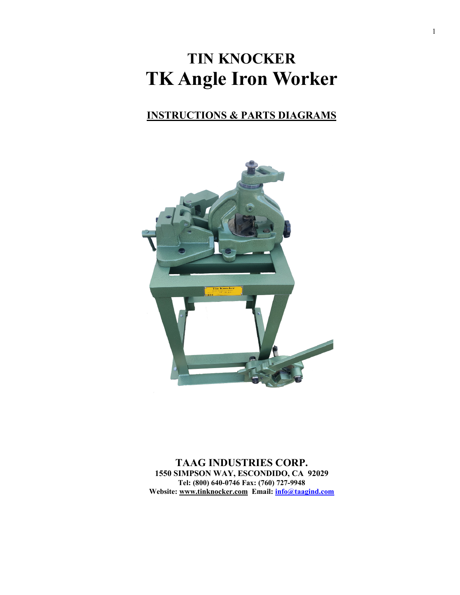# **TIN KNOCKER TK Angle Iron Worker**

### **INSTRUCTIONS & PARTS DIAGRAMS**



**TAAG INDUSTRIES CORP. 1550 SIMPSON WAY, ESCONDIDO, CA 92029 Tel: (800) 640-0746 Fax: (760) 727-9948 Website: [www.tinknocker.com](http://www.tinknocker.com/) Email: [info@taagind.com](mailto:info@taagind.com)**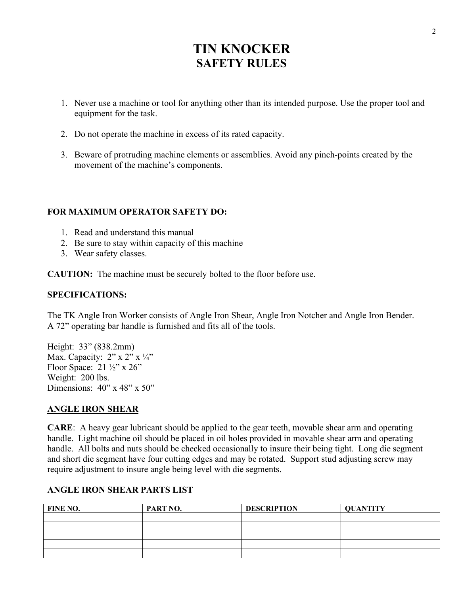# **TIN KNOCKER SAFETY RULES**

- 1. Never use a machine or tool for anything other than its intended purpose. Use the proper tool and equipment for the task.
- 2. Do not operate the machine in excess of its rated capacity.
- 3. Beware of protruding machine elements or assemblies. Avoid any pinch-points created by the movement of the machine's components.

#### **FOR MAXIMUM OPERATOR SAFETY DO:**

- 1. Read and understand this manual
- 2. Be sure to stay within capacity of this machine
- 3. Wear safety classes.

**CAUTION:** The machine must be securely bolted to the floor before use.

#### **SPECIFICATIONS:**

The TK Angle Iron Worker consists of Angle Iron Shear, Angle Iron Notcher and Angle Iron Bender. A 72" operating bar handle is furnished and fits all of the tools.

Height: 33" (838.2mm) Max. Capacity:  $2$ " x  $2$ " x  $\frac{1}{4}$ " Floor Space:  $21\frac{1}{2}$ " x  $26$ " Weight: 200 lbs. Dimensions: 40" x 48" x 50"

#### **ANGLE IRON SHEAR**

**CARE**: A heavy gear lubricant should be applied to the gear teeth, movable shear arm and operating handle. Light machine oil should be placed in oil holes provided in movable shear arm and operating handle. All bolts and nuts should be checked occasionally to insure their being tight. Long die segment and short die segment have four cutting edges and may be rotated. Support stud adjusting screw may require adjustment to insure angle being level with die segments.

#### **ANGLE IRON SHEAR PARTS LIST**

| FINE NO. | PART NO. | <b>DESCRIPTION</b> | <b>QUANTITY</b> |
|----------|----------|--------------------|-----------------|
|          |          |                    |                 |
|          |          |                    |                 |
|          |          |                    |                 |
|          |          |                    |                 |
|          |          |                    |                 |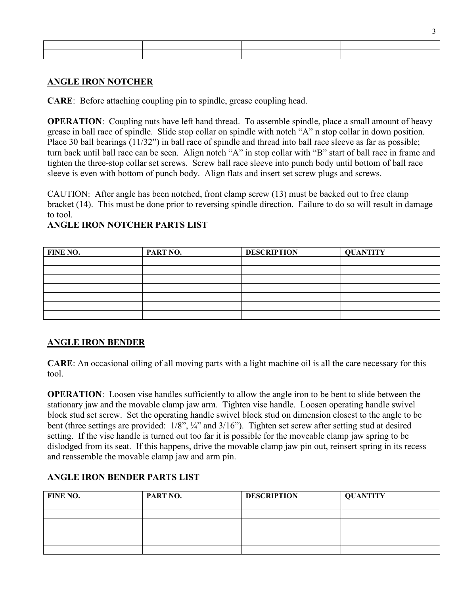| the contract of the contract of the contract of the contract of the contract of                                 |
|-----------------------------------------------------------------------------------------------------------------|
|                                                                                                                 |
|                                                                                                                 |
| the contract of the contract of the contract of the contract of the contract of the contract of the contract of |

#### **ANGLE IRON NOTCHER**

**CARE**: Before attaching coupling pin to spindle, grease coupling head.

**OPERATION**: Coupling nuts have left hand thread. To assemble spindle, place a small amount of heavy grease in ball race of spindle. Slide stop collar on spindle with notch "A" n stop collar in down position. Place 30 ball bearings (11/32") in ball race of spindle and thread into ball race sleeve as far as possible; turn back until ball race can be seen. Align notch "A" in stop collar with "B" start of ball race in frame and tighten the three-stop collar set screws. Screw ball race sleeve into punch body until bottom of ball race sleeve is even with bottom of punch body. Align flats and insert set screw plugs and screws.

CAUTION: After angle has been notched, front clamp screw (13) must be backed out to free clamp bracket (14). This must be done prior to reversing spindle direction. Failure to do so will result in damage to tool.

| FINE NO. | PART NO. | <b>DESCRIPTION</b> | <b>QUANTITY</b> |
|----------|----------|--------------------|-----------------|
|          |          |                    |                 |
|          |          |                    |                 |
|          |          |                    |                 |
|          |          |                    |                 |
|          |          |                    |                 |
|          |          |                    |                 |
|          |          |                    |                 |

#### **ANGLE IRON NOTCHER PARTS LIST**

#### **ANGLE IRON BENDER**

**CARE**: An occasional oiling of all moving parts with a light machine oil is all the care necessary for this tool.

**OPERATION:** Loosen vise handles sufficiently to allow the angle iron to be bent to slide between the stationary jaw and the movable clamp jaw arm. Tighten vise handle. Loosen operating handle swivel block stud set screw. Set the operating handle swivel block stud on dimension closest to the angle to be bent (three settings are provided:  $1/8$ ",  $\frac{1}{4}$ " and  $3/16$ "). Tighten set screw after setting stud at desired setting. If the vise handle is turned out too far it is possible for the moveable clamp jaw spring to be dislodged from its seat. If this happens, drive the movable clamp jaw pin out, reinsert spring in its recess and reassemble the movable clamp jaw and arm pin.

#### **ANGLE IRON BENDER PARTS LIST**

| FINE NO. | PART NO. | <b>DESCRIPTION</b> | <b>QUANTITY</b> |
|----------|----------|--------------------|-----------------|
|          |          |                    |                 |
|          |          |                    |                 |
|          |          |                    |                 |
|          |          |                    |                 |
|          |          |                    |                 |
|          |          |                    |                 |